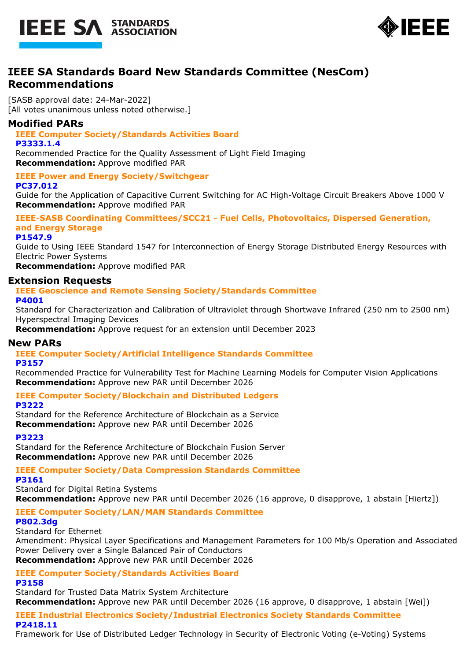



# **IEEE SA Standards Board New Standards Committee (NesCom) Recommendations**

[SASB approval date: 24-Mar-2022] [All votes unanimous unless noted otherwise.]

## **Modified PARs**

## **IEEE Computer Society/Standards Activities Board**

#### **P3333.1.4**

Recommended Practice for the Quality Assessment of Light Field Imaging **Recommendation:** Approve modified PAR

# **IEEE Power and Energy Society/Switchgear**

**PC37.012**

Guide for the Application of Capacitive Current Switching for AC High-Voltage Circuit Breakers Above 1000 V **Recommendation:** Approve modified PAR

## **IEEE-SASB Coordinating Committees/SCC21 - Fuel Cells, Photovoltaics, Dispersed Generation, and Energy Storage**

**P1547.9**

Guide to Using IEEE Standard 1547 for Interconnection of Energy Storage Distributed Energy Resources with Electric Power Systems

**Recommendation:** Approve modified PAR

## **Extension Requests**

#### **IEEE Geoscience and Remote Sensing Society/Standards Committee P4001**

Standard for Characterization and Calibration of Ultraviolet through Shortwave Infrared (250 nm to 2500 nm) Hyperspectral Imaging Devices

**Recommendation:** Approve request for an extension until December 2023

### **New PARs**

# **IEEE Computer Society/Artificial Intelligence Standards Committee**

### **P3157**

Recommended Practice for Vulnerability Test for Machine Learning Models for Computer Vision Applications **Recommendation:** Approve new PAR until December 2026

### **IEEE Computer Society/Blockchain and Distributed Ledgers**

**P3222**

Standard for the Reference Architecture of Blockchain as a Service **Recommendation:** Approve new PAR until December 2026

### **P3223**

Standard for the Reference Architecture of Blockchain Fusion Server **Recommendation:** Approve new PAR until December 2026

# **IEEE Computer Society/Data Compression Standards Committee**

**P3161**

Standard for Digital Retina Systems

**Recommendation:** Approve new PAR until December 2026 (16 approve, 0 disapprove, 1 abstain [Hiertz])

# **IEEE Computer Society/LAN/MAN Standards Committee**

## **P802.3dg**

Standard for Ethernet

Amendment: Physical Layer Specifications and Management Parameters for 100 Mb/s Operation and Associated Power Delivery over a Single Balanced Pair of Conductors **Recommendation:** Approve new PAR until December 2026

**IEEE Computer Society/Standards Activities Board**

## **P3158**

Standard for Trusted Data Matrix System Architecture **Recommendation:** Approve new PAR until December 2026 (16 approve, 0 disapprove, 1 abstain [Wei])

**IEEE Industrial Electronics Society/Industrial Electronics Society Standards Committee P2418.11**

Framework for Use of Distributed Ledger Technology in Security of Electronic Voting (e-Voting) Systems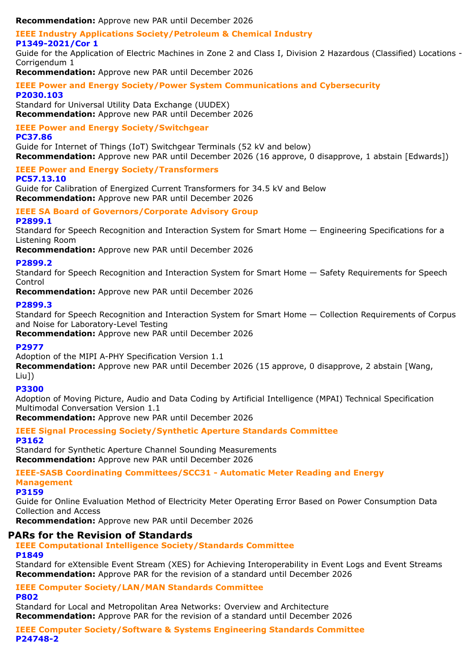**Recommendation:** Approve new PAR until December 2026

## **IEEE Industry Applications Society/Petroleum & Chemical Industry**

**P1349-2021/Cor 1**

Guide for the Application of Electric Machines in Zone 2 and Class I, Division 2 Hazardous (Classified) Locations - Corrigendum 1

**Recommendation:** Approve new PAR until December 2026

**IEEE Power and Energy Society/Power System Communications and Cybersecurity P2030.103**

Standard for Universal Utility Data Exchange (UUDEX) **Recommendation:** Approve new PAR until December 2026

# **IEEE Power and Energy Society/Switchgear**

#### **PC37.86**

Guide for Internet of Things (IoT) Switchgear Terminals (52 kV and below) **Recommendation:** Approve new PAR until December 2026 (16 approve, 0 disapprove, 1 abstain [Edwards])

### **IEEE Power and Energy Society/Transformers**

#### **PC57.13.10**

Guide for Calibration of Energized Current Transformers for 34.5 kV and Below **Recommendation:** Approve new PAR until December 2026

### **IEEE SA Board of Governors/Corporate Advisory Group**

### **P2899.1**

Standard for Speech Recognition and Interaction System for Smart Home — Engineering Specifications for a Listening Room

**Recommendation:** Approve new PAR until December 2026

### **P2899.2**

Standard for Speech Recognition and Interaction System for Smart Home — Safety Requirements for Speech Control

**Recommendation:** Approve new PAR until December 2026

### **P2899.3**

Standard for Speech Recognition and Interaction System for Smart Home — Collection Requirements of Corpus and Noise for Laboratory-Level Testing

**Recommendation:** Approve new PAR until December 2026

### **P2977**

### Adoption of the MIPI A-PHY Specification Version 1.1

**Recommendation:** Approve new PAR until December 2026 (15 approve, 0 disapprove, 2 abstain [Wang, Liu])

### **P3300**

Adoption of Moving Picture, Audio and Data Coding by Artificial Intelligence (MPAI) Technical Specification Multimodal Conversation Version 1.1

**Recommendation:** Approve new PAR until December 2026

### **IEEE Signal Processing Society/Synthetic Aperture Standards Committee P3162**

Standard for Synthetic Aperture Channel Sounding Measurements **Recommendation:** Approve new PAR until December 2026

#### **IEEE-SASB Coordinating Committees/SCC31 - Automatic Meter Reading and Energy Management**

### **P3159**

Guide for Online Evaluation Method of Electricity Meter Operating Error Based on Power Consumption Data Collection and Access

**Recommendation:** Approve new PAR until December 2026

## **PARs for the Revision of Standards**

**IEEE Computational Intelligence Society/Standards Committee P1849**

Standard for eXtensible Event Stream (XES) for Achieving Interoperability in Event Logs and Event Streams **Recommendation:** Approve PAR for the revision of a standard until December 2026

**IEEE Computer Society/LAN/MAN Standards Committee**

### **P802**

Standard for Local and Metropolitan Area Networks: Overview and Architecture **Recommendation:** Approve PAR for the revision of a standard until December 2026

**IEEE Computer Society/Software & Systems Engineering Standards Committee P24748-2**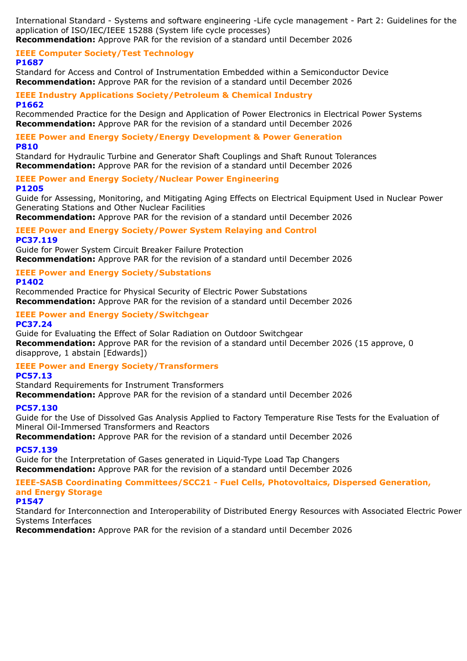International Standard - Systems and software engineering -Life cycle management - Part 2: Guidelines for the application of ISO/IEC/IEEE 15288 (System life cycle processes)

**Recommendation:** Approve PAR for the revision of a standard until December 2026

#### **IEEE Computer Society/Test Technology P1687**

Standard for Access and Control of Instrumentation Embedded within a Semiconductor Device **Recommendation:** Approve PAR for the revision of a standard until December 2026

#### **IEEE Industry Applications Society/Petroleum & Chemical Industry P1662**

Recommended Practice for the Design and Application of Power Electronics in Electrical Power Systems **Recommendation:** Approve PAR for the revision of a standard until December 2026

#### **IEEE Power and Energy Society/Energy Development & Power Generation P810**

Standard for Hydraulic Turbine and Generator Shaft Couplings and Shaft Runout Tolerances **Recommendation:** Approve PAR for the revision of a standard until December 2026

**IEEE Power and Energy Society/Nuclear Power Engineering P1205**

Guide for Assessing, Monitoring, and Mitigating Aging Effects on Electrical Equipment Used in Nuclear Power Generating Stations and Other Nuclear Facilities

**Recommendation:** Approve PAR for the revision of a standard until December 2026

#### **IEEE Power and Energy Society/Power System Relaying and Control PC37.119**

Guide for Power System Circuit Breaker Failure Protection **Recommendation:** Approve PAR for the revision of a standard until December 2026

## **IEEE Power and Energy Society/Substations**

### **P1402**

Recommended Practice for Physical Security of Electric Power Substations **Recommendation:** Approve PAR for the revision of a standard until December 2026

# **IEEE Power and Energy Society/Switchgear**

**PC37.24**

Guide for Evaluating the Effect of Solar Radiation on Outdoor Switchgear **Recommendation:** Approve PAR for the revision of a standard until December 2026 (15 approve, 0 disapprove, 1 abstain [Edwards])

### **IEEE Power and Energy Society/Transformers**

### **PC57.13**

Standard Requirements for Instrument Transformers

**Recommendation:** Approve PAR for the revision of a standard until December 2026

### **PC57.130**

Guide for the Use of Dissolved Gas Analysis Applied to Factory Temperature Rise Tests for the Evaluation of Mineral Oil-Immersed Transformers and Reactors

**Recommendation:** Approve PAR for the revision of a standard until December 2026

### **PC57.139**

Guide for the Interpretation of Gases generated in Liquid-Type Load Tap Changers **Recommendation:** Approve PAR for the revision of a standard until December 2026

### **IEEE-SASB Coordinating Committees/SCC21 - Fuel Cells, Photovoltaics, Dispersed Generation, and Energy Storage**

### **P1547**

Standard for Interconnection and Interoperability of Distributed Energy Resources with Associated Electric Power Systems Interfaces

**Recommendation:** Approve PAR for the revision of a standard until December 2026